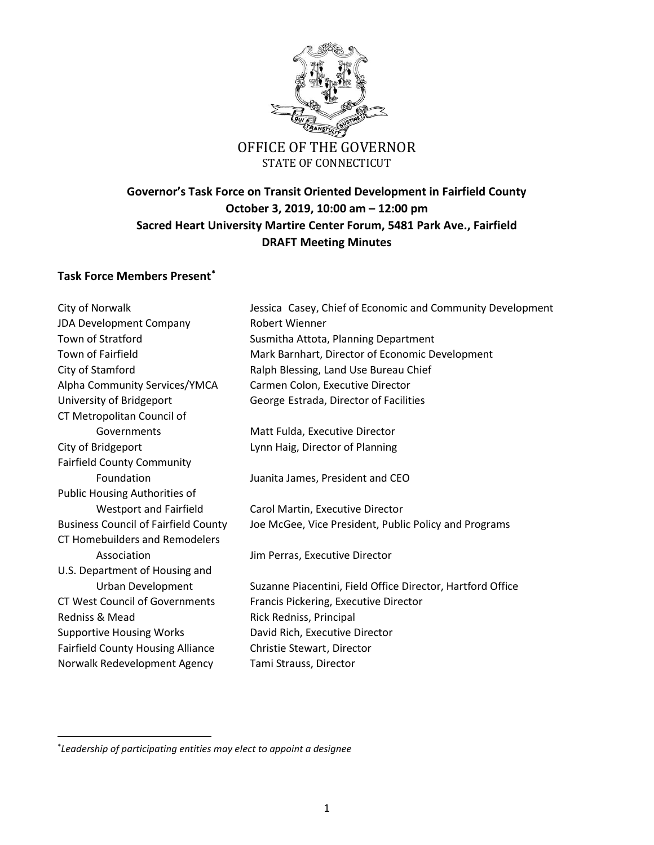

## OFFICE OF THE GOVERNOR STATE OF CONNECTICUT

# **Governor's Task Force on Transit Oriented Development in Fairfield County October 3, 2019, 10:00 am – 12:00 pm Sacred Heart University Martire Center Forum, 5481 Park Ave., Fairfield DRAFT Meeting Minutes**

### **Task Force Members Present\***

City of Norwalk Jessica Casey, Chief of Economic and Community Development JDA Development Company Robert Wienner Town of Stratford **Susmitha Attota**, Planning Department Town of Fairfield Mark Barnhart, Director of Economic Development City of Stamford **Ralph Blessing, Land Use Bureau Chief** Alpha Community Services/YMCA Carmen Colon, Executive Director University of Bridgeport George Estrada, Director of Facilities CT Metropolitan Council of Governments Matt Fulda, Executive Director City of Bridgeport Lynn Haig, Director of Planning Fairfield County Community Foundation Juanita James, President and CEO Public Housing Authorities of Westport and Fairfield Carol Martin, Executive Director Business Council of Fairfield County Joe McGee, Vice President, Public Policy and Programs CT Homebuilders and Remodelers Association **Association** Jim Perras, Executive Director U.S. Department of Housing and Urban Development Suzanne Piacentini, Field Office Director, Hartford Office CT West Council of Governments Francis Pickering, Executive Director Redniss & Mead Rick Redniss, Principal Supportive Housing Works David Rich, Executive Director Fairfield County Housing Alliance Christie Stewart, Director Norwalk Redevelopment Agency Tami Strauss, Director

\* *Leadership of participating entities may elect to appoint a designee*

 $\overline{\phantom{a}}$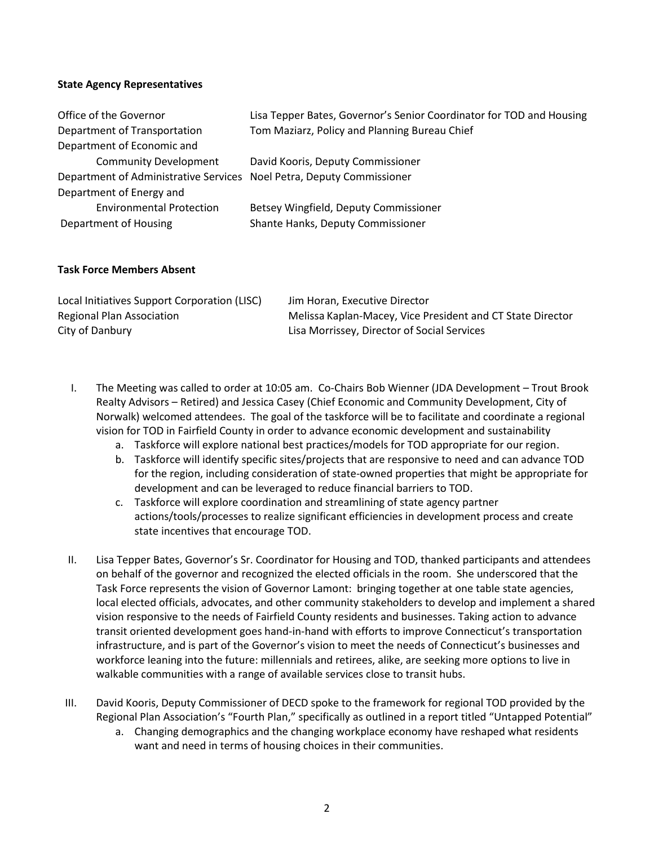### **State Agency Representatives**

| Office of the Governor                                                | Lisa Tepper Bates, Governor's Senior Coordinator for TOD and Housing |
|-----------------------------------------------------------------------|----------------------------------------------------------------------|
| Department of Transportation                                          | Tom Maziarz, Policy and Planning Bureau Chief                        |
| Department of Economic and                                            |                                                                      |
| <b>Community Development</b>                                          | David Kooris, Deputy Commissioner                                    |
| Department of Administrative Services Noel Petra, Deputy Commissioner |                                                                      |
| Department of Energy and                                              |                                                                      |
| <b>Environmental Protection</b>                                       | Betsey Wingfield, Deputy Commissioner                                |
| Department of Housing                                                 | Shante Hanks, Deputy Commissioner                                    |

#### **Task Force Members Absent**

| Local Initiatives Support Corporation (LISC) | Jim Horan, Executive Director                              |
|----------------------------------------------|------------------------------------------------------------|
| Regional Plan Association                    | Melissa Kaplan-Macey, Vice President and CT State Director |
| City of Danbury                              | Lisa Morrissey, Director of Social Services                |

- I. The Meeting was called to order at 10:05 am. Co-Chairs Bob Wienner (JDA Development Trout Brook Realty Advisors – Retired) and Jessica Casey (Chief Economic and Community Development, City of Norwalk) welcomed attendees. The goal of the taskforce will be to facilitate and coordinate a regional vision for TOD in Fairfield County in order to advance economic development and sustainability
	- a. Taskforce will explore national best practices/models for TOD appropriate for our region.
	- b. Taskforce will identify specific sites/projects that are responsive to need and can advance TOD for the region, including consideration of state-owned properties that might be appropriate for development and can be leveraged to reduce financial barriers to TOD.
	- c. Taskforce will explore coordination and streamlining of state agency partner actions/tools/processes to realize significant efficiencies in development process and create state incentives that encourage TOD.
- II. Lisa Tepper Bates, Governor's Sr. Coordinator for Housing and TOD, thanked participants and attendees on behalf of the governor and recognized the elected officials in the room. She underscored that the Task Force represents the vision of Governor Lamont: bringing together at one table state agencies, local elected officials, advocates, and other community stakeholders to develop and implement a shared vision responsive to the needs of Fairfield County residents and businesses. Taking action to advance transit oriented development goes hand-in-hand with efforts to improve Connecticut's transportation infrastructure, and is part of the Governor's vision to meet the needs of Connecticut's businesses and workforce leaning into the future: millennials and retirees, alike, are seeking more options to live in walkable communities with a range of available services close to transit hubs.
- III. David Kooris, Deputy Commissioner of DECD spoke to the framework for regional TOD provided by the Regional Plan Association's "Fourth Plan," specifically as outlined in a report titled "Untapped Potential"
	- a. Changing demographics and the changing workplace economy have reshaped what residents want and need in terms of housing choices in their communities.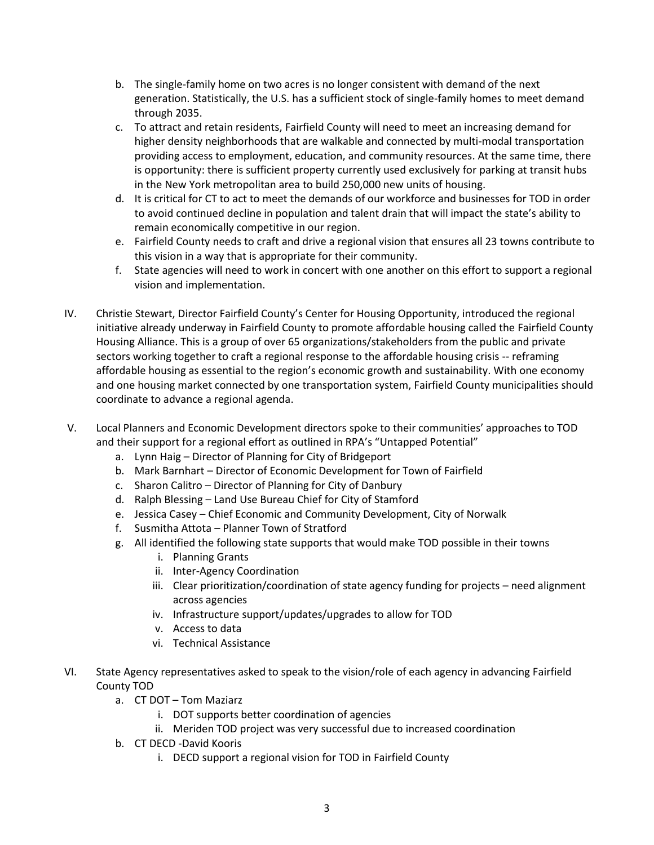- b. The single-family home on two acres is no longer consistent with demand of the next generation. Statistically, the U.S. has a sufficient stock of single-family homes to meet demand through 2035.
- c. To attract and retain residents, Fairfield County will need to meet an increasing demand for higher density neighborhoods that are walkable and connected by multi-modal transportation providing access to employment, education, and community resources. At the same time, there is opportunity: there is sufficient property currently used exclusively for parking at transit hubs in the New York metropolitan area to build 250,000 new units of housing.
- d. It is critical for CT to act to meet the demands of our workforce and businesses for TOD in order to avoid continued decline in population and talent drain that will impact the state's ability to remain economically competitive in our region.
- e. Fairfield County needs to craft and drive a regional vision that ensures all 23 towns contribute to this vision in a way that is appropriate for their community.
- f. State agencies will need to work in concert with one another on this effort to support a regional vision and implementation.
- IV. Christie Stewart, Director Fairfield County's Center for Housing Opportunity, introduced the regional initiative already underway in Fairfield County to promote affordable housing called the Fairfield County Housing Alliance. This is a group of over 65 organizations/stakeholders from the public and private sectors working together to craft a regional response to the affordable housing crisis -- reframing affordable housing as essential to the region's economic growth and sustainability. With one economy and one housing market connected by one transportation system, Fairfield County municipalities should coordinate to advance a regional agenda.
- V. Local Planners and Economic Development directors spoke to their communities' approaches to TOD and their support for a regional effort as outlined in RPA's "Untapped Potential"
	- a. Lynn Haig Director of Planning for City of Bridgeport
	- b. Mark Barnhart Director of Economic Development for Town of Fairfield
	- c. Sharon Calitro Director of Planning for City of Danbury
	- d. Ralph Blessing Land Use Bureau Chief for City of Stamford
	- e. Jessica Casey Chief Economic and Community Development, City of Norwalk
	- f. Susmitha Attota Planner Town of Stratford
	- g. All identified the following state supports that would make TOD possible in their towns
		- i. Planning Grants
		- ii. Inter-Agency Coordination
		- iii. Clear prioritization/coordination of state agency funding for projects need alignment across agencies
		- iv. Infrastructure support/updates/upgrades to allow for TOD
		- v. Access to data
		- vi. Technical Assistance
- VI. State Agency representatives asked to speak to the vision/role of each agency in advancing Fairfield County TOD
	- a. CT DOT Tom Maziarz
		- i. DOT supports better coordination of agencies
		- ii. Meriden TOD project was very successful due to increased coordination
	- b. CT DECD -David Kooris
		- i. DECD support a regional vision for TOD in Fairfield County